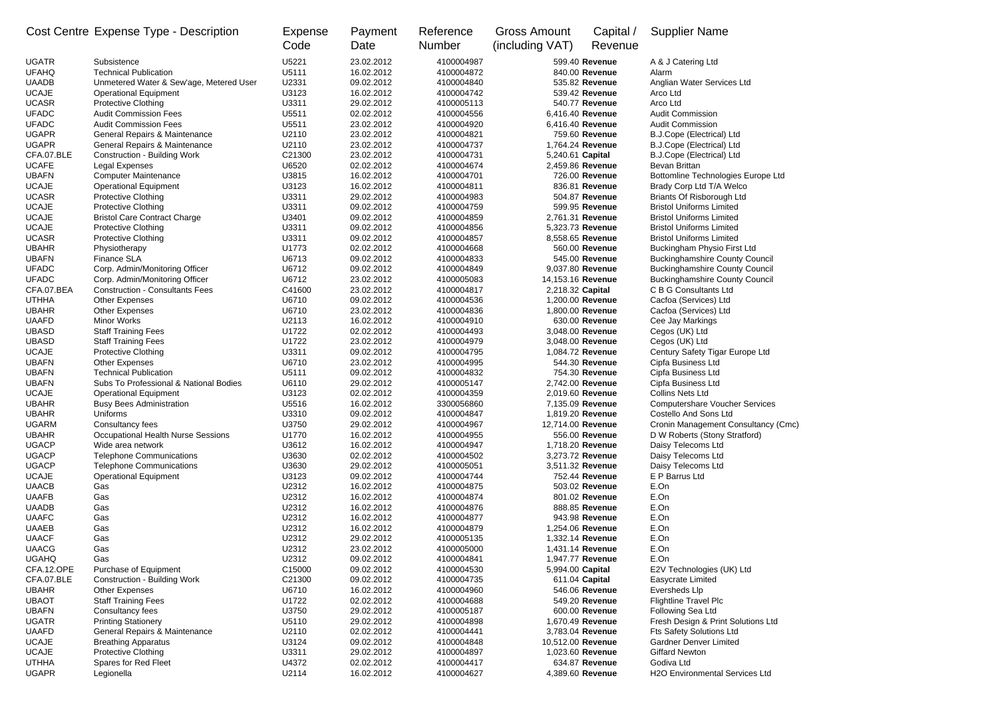|                              | Cost Centre Expense Type - Description                 | <b>Expense</b>  | Payment                  | Reference                | <b>Gross Amount</b> | Capital /        | <b>Supplier Name</b>                                |
|------------------------------|--------------------------------------------------------|-----------------|--------------------------|--------------------------|---------------------|------------------|-----------------------------------------------------|
|                              |                                                        | Code            | Date                     | <b>Number</b>            | (including VAT)     | Revenue          |                                                     |
| <b>UGATR</b>                 | Subsistence                                            | U5221           | 23.02.2012               | 4100004987               |                     | 599.40 Revenue   | A & J Catering Ltd                                  |
| <b>UFAHQ</b>                 | <b>Technical Publication</b>                           | U5111           | 16.02.2012               | 4100004872               |                     | 840.00 Revenue   | Alarm                                               |
| <b>UAADB</b>                 | Unmetered Water & Sew'age, Metered User                | U2331           | 09.02.2012               | 4100004840               |                     | 535.82 Revenue   | Anglian Water Services Ltd                          |
| <b>UCAJE</b>                 | <b>Operational Equipment</b>                           | U3123           | 16.02.2012               | 4100004742               |                     | 539.42 Revenue   | Arco Ltd                                            |
| <b>UCASR</b>                 | Protective Clothing                                    | U3311           | 29.02.2012               | 4100005113               |                     | 540.77 Revenue   | Arco Ltd                                            |
| <b>UFADC</b>                 | <b>Audit Commission Fees</b>                           | U5511           | 02.02.2012               | 4100004556               |                     | 6,416.40 Revenue | <b>Audit Commission</b>                             |
| <b>UFADC</b>                 | <b>Audit Commission Fees</b>                           | U5511           | 23.02.2012               | 4100004920               |                     | 6,416.40 Revenue | <b>Audit Commission</b>                             |
| <b>UGAPR</b>                 | General Repairs & Maintenance                          | U2110           | 23.02.2012               | 4100004821               |                     | 759.60 Revenue   | B.J.Cope (Electrical) Ltd                           |
| <b>UGAPR</b><br>CFA.07.BLE   | General Repairs & Maintenance                          | U2110<br>C21300 | 23.02.2012<br>23.02.2012 | 4100004737<br>4100004731 |                     | 1,764.24 Revenue | B.J.Cope (Electrical) Ltd                           |
| <b>UCAFE</b>                 | <b>Construction - Building Work</b><br>Legal Expenses  | U6520           | 02.02.2012               | 4100004674               | 5,240.61 Capital    | 2,459.86 Revenue | B.J.Cope (Electrical) Ltd<br>Bevan Brittan          |
| <b>UBAFN</b>                 | <b>Computer Maintenance</b>                            | U3815           | 16.02.2012               | 4100004701               |                     | 726.00 Revenue   | Bottomline Technologies Europe Ltd                  |
| <b>UCAJE</b>                 | <b>Operational Equipment</b>                           | U3123           | 16.02.2012               | 4100004811               |                     | 836.81 Revenue   | Brady Corp Ltd T/A Welco                            |
| <b>UCASR</b>                 | <b>Protective Clothing</b>                             | U3311           | 29.02.2012               | 4100004983               |                     | 504.87 Revenue   | Briants Of Risborough Ltd                           |
| <b>UCAJE</b>                 | <b>Protective Clothing</b>                             | U3311           | 09.02.2012               | 4100004759               |                     | 599.95 Revenue   | <b>Bristol Uniforms Limited</b>                     |
| <b>UCAJE</b>                 | <b>Bristol Care Contract Charge</b>                    | U3401           | 09.02.2012               | 4100004859               |                     | 2,761.31 Revenue | <b>Bristol Uniforms Limited</b>                     |
| <b>UCAJE</b>                 | <b>Protective Clothing</b>                             | U3311           | 09.02.2012               | 4100004856               |                     | 5,323.73 Revenue | <b>Bristol Uniforms Limited</b>                     |
| <b>UCASR</b>                 | Protective Clothing                                    | U3311           | 09.02.2012               | 4100004857               |                     | 8,558.65 Revenue | <b>Bristol Uniforms Limited</b>                     |
| <b>UBAHR</b>                 | Physiotherapy                                          | U1773           | 02.02.2012               | 4100004668               |                     | 560.00 Revenue   | Buckingham Physio First Ltd                         |
| <b>UBAFN</b>                 | <b>Finance SLA</b>                                     | U6713           | 09.02.2012               | 4100004833               |                     | 545.00 Revenue   | <b>Buckinghamshire County Council</b>               |
| <b>UFADC</b>                 | Corp. Admin/Monitoring Officer                         | U6712           | 09.02.2012               | 4100004849               |                     | 9,037.80 Revenue | <b>Buckinghamshire County Council</b>               |
| <b>UFADC</b>                 | Corp. Admin/Monitoring Officer                         | U6712           | 23.02.2012               | 4100005083               | 14,153.16 Revenue   |                  | <b>Buckinghamshire County Council</b>               |
| CFA.07.BEA                   | <b>Construction - Consultants Fees</b>                 | C41600          | 23.02.2012               | 4100004817               | 2,218.32 Capital    |                  | C B G Consultants Ltd                               |
| <b>UTHHA</b>                 | <b>Other Expenses</b>                                  | U6710           | 09.02.2012               | 4100004536               |                     | 1,200.00 Revenue | Cacfoa (Services) Ltd                               |
| <b>UBAHR</b>                 | <b>Other Expenses</b>                                  | U6710           | 23.02.2012               | 4100004836               |                     | 1,800.00 Revenue | Cacfoa (Services) Ltd                               |
| <b>UAAFD</b>                 | Minor Works                                            | U2113           | 16.02.2012               | 4100004910               |                     | 630.00 Revenue   | Cee Jay Markings                                    |
| <b>UBASD</b>                 | <b>Staff Training Fees</b>                             | U1722           | 02.02.2012               | 4100004493               |                     | 3,048.00 Revenue | Cegos (UK) Ltd                                      |
| <b>UBASD</b>                 | <b>Staff Training Fees</b>                             | U1722           | 23.02.2012               | 4100004979               |                     | 3,048.00 Revenue | Cegos (UK) Ltd                                      |
| <b>UCAJE</b>                 | Protective Clothing                                    | U3311           | 09.02.2012               | 4100004795               |                     | 1,084.72 Revenue | Century Safety Tigar Europe Ltd                     |
| <b>UBAFN</b>                 | Other Expenses                                         | U6710           | 23.02.2012               | 4100004995               |                     | 544.30 Revenue   | Cipfa Business Ltd                                  |
| <b>UBAFN</b>                 | <b>Technical Publication</b>                           | U5111           | 09.02.2012               | 4100004832               |                     | 754.30 Revenue   | Cipfa Business Ltd                                  |
| <b>UBAFN</b>                 | Subs To Professional & National Bodies                 | U6110           | 29.02.2012               | 4100005147               |                     | 2,742.00 Revenue | Cipfa Business Ltd                                  |
| <b>UCAJE</b>                 | <b>Operational Equipment</b>                           | U3123           | 02.02.2012               | 4100004359               |                     | 2,019.60 Revenue | <b>Collins Nets Ltd</b>                             |
| <b>UBAHR</b>                 | <b>Busy Bees Administration</b>                        | U5516           | 16.02.2012               | 3300056860               |                     | 7,135.09 Revenue | <b>Computershare Voucher Services</b>               |
| <b>UBAHR</b>                 | Uniforms                                               | U3310           | 09.02.2012               | 4100004847               |                     | 1,819.20 Revenue | <b>Costello And Sons Ltd</b>                        |
| <b>UGARM</b><br><b>UBAHR</b> | Consultancy fees<br>Occupational Health Nurse Sessions | U3750<br>U1770  | 29.02.2012<br>16.02.2012 | 4100004967<br>4100004955 | 12,714.00 Revenue   | 556.00 Revenue   | Cronin Management Consultancy (Cmc)                 |
| <b>UGACP</b>                 | Wide area network                                      | U3612           | 16.02.2012               | 4100004947               |                     | 1,718.20 Revenue | D W Roberts (Stony Stratford)<br>Daisy Telecoms Ltd |
| <b>UGACP</b>                 | <b>Telephone Communications</b>                        | U3630           | 02.02.2012               | 4100004502               |                     | 3,273.72 Revenue | Daisy Telecoms Ltd                                  |
| <b>UGACP</b>                 | <b>Telephone Communications</b>                        | U3630           | 29.02.2012               | 4100005051               |                     | 3,511.32 Revenue | Daisy Telecoms Ltd                                  |
| <b>UCAJE</b>                 | <b>Operational Equipment</b>                           | U3123           | 09.02.2012               | 4100004744               |                     | 752.44 Revenue   | E P Barrus Ltd                                      |
| <b>UAACB</b>                 | Gas                                                    | U2312           | 16.02.2012               | 4100004875               |                     | 503.02 Revenue   | E.On                                                |
| <b>UAAFB</b>                 | Gas                                                    | U2312           | 16.02.2012               | 4100004874               |                     | 801.02 Revenue   | E.On                                                |
| <b>UAADB</b>                 | Gas                                                    | U2312           | 16.02.2012               | 4100004876               |                     | 888.85 Revenue   | E.On                                                |
| <b>UAAFC</b>                 | Gas                                                    | U2312           | 16.02.2012               | 4100004877               |                     | 943.98 Revenue   | E.On                                                |
| <b>UAAEB</b>                 | Gas                                                    | U2312           | 16.02.2012               | 4100004879               |                     | 1,254.06 Revenue | E.On                                                |
| <b>UAACF</b>                 | Gas                                                    | U2312           | 29.02.2012               | 4100005135               |                     | 1,332.14 Revenue | E.On                                                |
| <b>UAACG</b>                 | Gas                                                    | U2312           | 23.02.2012               | 4100005000               |                     | 1,431.14 Revenue | E.On                                                |
| <b>UGAHQ</b>                 | Gas                                                    | U2312           | 09.02.2012               | 4100004841               |                     | 1,947.77 Revenue | E.On                                                |
| CFA.12.OPE                   | Purchase of Equipment                                  | C15000          | 09.02.2012               | 4100004530               | 5,994.00 Capital    |                  | E2V Technologies (UK) Ltd                           |
| CFA.07.BLE                   | <b>Construction - Building Work</b>                    | C21300          | 09.02.2012               | 4100004735               |                     | 611.04 Capital   | <b>Easycrate Limited</b>                            |
| <b>UBAHR</b>                 | Other Expenses                                         | U6710           | 16.02.2012               | 4100004960               |                     | 546.06 Revenue   | Eversheds Llp                                       |
| <b>UBAOT</b>                 | <b>Staff Training Fees</b>                             | U1722           | 02.02.2012               | 4100004688               |                     | 549.20 Revenue   | <b>Flightline Travel Plc</b>                        |
| <b>UBAFN</b>                 | Consultancy fees                                       | U3750           | 29.02.2012               | 4100005187               |                     | 600.00 Revenue   | Following Sea Ltd                                   |
| <b>UGATR</b>                 | <b>Printing Stationery</b>                             | U5110           | 29.02.2012               | 4100004898               |                     | 1,670.49 Revenue | Fresh Design & Print Solutions Ltd                  |
| <b>UAAFD</b>                 | General Repairs & Maintenance                          | U2110           | 02.02.2012               | 4100004441               |                     | 3,783.04 Revenue | <b>Fts Safety Solutions Ltd</b>                     |
| <b>UCAJE</b>                 | <b>Breathing Apparatus</b>                             | U3124           | 09.02.2012               | 4100004848               | 10,512.00 Revenue   |                  | <b>Gardner Denver Limited</b>                       |
| <b>UCAJE</b>                 | Protective Clothing                                    | U3311           | 29.02.2012               | 4100004897               |                     | 1,023.60 Revenue | <b>Giffard Newton</b>                               |
| <b>UTHHA</b>                 | Spares for Red Fleet                                   | U4372           | 02.02.2012               | 4100004417               |                     | 634.87 Revenue   | Godiva Ltd                                          |
| <b>UGAPR</b>                 | Legionella                                             | U2114           | 16.02.2012               | 4100004627               |                     | 4,389.60 Revenue | H2O Environmental Services Ltd                      |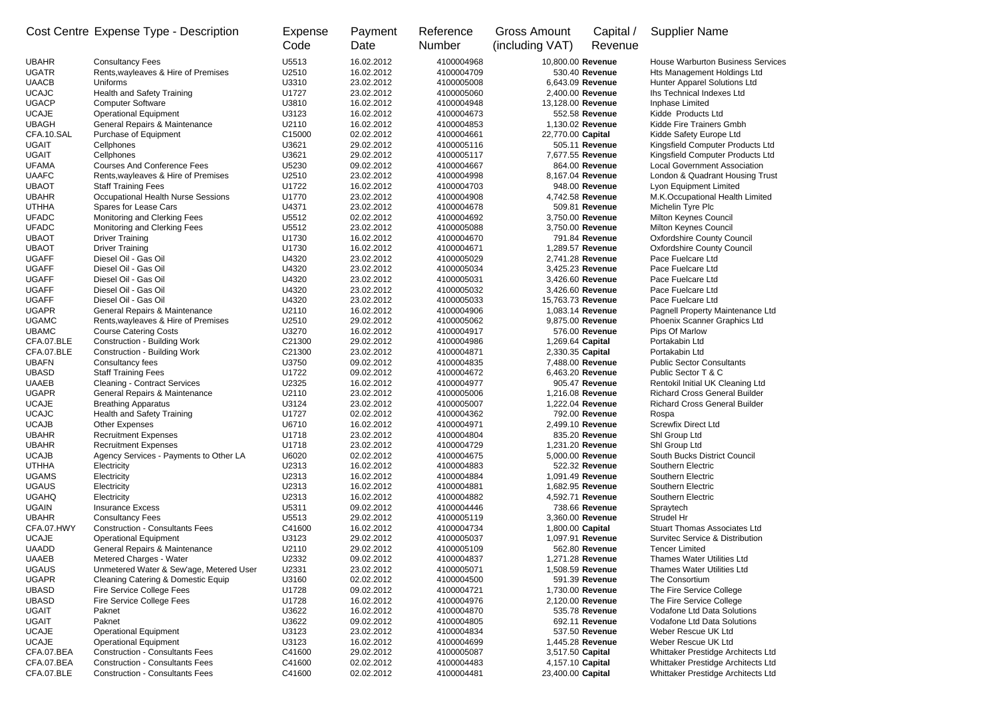|  |  |  | Cost Centre Expense Type - Description |
|--|--|--|----------------------------------------|
|--|--|--|----------------------------------------|

|              | Cost Centre Expense Type - Description    | Expense<br>Code | Payment<br>Date | Reference<br><b>Number</b> | <b>Gross Amount</b><br>(including VAT) | Capital /<br>Revenue | <b>Supplier Name</b>                     |
|--------------|-------------------------------------------|-----------------|-----------------|----------------------------|----------------------------------------|----------------------|------------------------------------------|
| UBAHR        | <b>Consultancy Fees</b>                   | U5513           | 16.02.2012      | 4100004968                 |                                        | 10,800.00 Revenue    | <b>House Warburton Business Services</b> |
| UGATR        | Rents, wayleaves & Hire of Premises       | U2510           | 16.02.2012      | 4100004709                 |                                        | 530.40 Revenue       | Hts Management Holdings Ltd              |
| UAACB        | Uniforms                                  | U3310           | 23.02.2012      | 4100005008                 |                                        | 6,643.09 Revenue     | Hunter Apparel Solutions Ltd             |
| <b>UCAJC</b> | Health and Safety Training                | U1727           | 23.02.2012      | 4100005060                 |                                        | 2,400.00 Revenue     | Ihs Technical Indexes Ltd                |
| UGACP        | <b>Computer Software</b>                  | U3810           | 16.02.2012      | 4100004948                 |                                        | 13,128.00 Revenue    | Inphase Limited                          |
| <b>UCAJE</b> | <b>Operational Equipment</b>              | U3123           | 16.02.2012      | 4100004673                 |                                        | 552.58 Revenue       | Kidde Products Ltd                       |
| UBAGH        | General Repairs & Maintenance             | U2110           | 16.02.2012      | 4100004853                 |                                        | 1,130.02 Revenue     | Kidde Fire Trainers Gmbh                 |
| CFA.10.SAL   | Purchase of Equipment                     | C15000          | 02.02.2012      | 4100004661                 | 22,770.00 Capital                      |                      | Kidde Safety Europe Ltd                  |
| UGAIT        | Cellphones                                | U3621           | 29.02.2012      | 4100005116                 |                                        | 505.11 Revenue       | Kingsfield Computer Products Ltd         |
| UGAIT        | Cellphones                                | U3621           | 29.02.2012      | 4100005117                 |                                        | 7,677.55 Revenue     | Kingsfield Computer Products Ltd         |
| UFAMA        | <b>Courses And Conference Fees</b>        | U5230           | 09.02.2012      | 4100004667                 |                                        | 864.00 Revenue       | <b>Local Government Association</b>      |
| UAAFC        | Rents, wayleaves & Hire of Premises       | U2510           | 23.02.2012      | 4100004998                 |                                        | 8,167.04 Revenue     | London & Quadrant Housing Trust          |
| UBAOT        | <b>Staff Training Fees</b>                | U1722           | 16.02.2012      | 4100004703                 |                                        | 948.00 Revenue       | Lyon Equipment Limited                   |
| UBAHR        | <b>Occupational Health Nurse Sessions</b> | U1770           | 23.02.2012      | 4100004908                 |                                        | 4,742.58 Revenue     | M.K.Occupational Health Limited          |
| UTHHA        | Spares for Lease Cars                     | U4371           | 23.02.2012      | 4100004678                 |                                        | 509.81 Revenue       | Michelin Tyre Plc                        |
| UFADC        | Monitoring and Clerking Fees              | U5512           | 02.02.2012      | 4100004692                 |                                        | 3,750.00 Revenue     | Milton Keynes Council                    |
| UFADC        | Monitoring and Clerking Fees              | U5512           | 23.02.2012      | 4100005088                 |                                        | 3,750.00 Revenue     | Milton Keynes Council                    |
| UBAOT        | <b>Driver Training</b>                    | U1730           | 16.02.2012      | 4100004670                 |                                        | 791.84 Revenue       | <b>Oxfordshire County Council</b>        |
| UBAOT        | <b>Driver Training</b>                    | U1730           | 16.02.2012      | 4100004671                 |                                        | 1,289.57 Revenue     | <b>Oxfordshire County Council</b>        |
| UGAFF        | Diesel Oil - Gas Oil                      | U4320           | 23.02.2012      | 4100005029                 |                                        | 2,741.28 Revenue     | Pace Fuelcare Ltd                        |
| UGAFF        | Diesel Oil - Gas Oil                      | U4320           | 23.02.2012      | 4100005034                 |                                        | 3,425.23 Revenue     | Pace Fuelcare Ltd                        |
| UGAFF        | Diesel Oil - Gas Oil                      | U4320           | 23.02.2012      | 4100005031                 |                                        | 3,426.60 Revenue     | Pace Fuelcare Ltd                        |
| UGAFF        | Diesel Oil - Gas Oil                      | U4320           | 23.02.2012      | 4100005032                 |                                        | 3,426.60 Revenue     | Pace Fuelcare Ltd                        |
| UGAFF        | Diesel Oil - Gas Oil                      | U4320           | 23.02.2012      | 4100005033                 |                                        | 15,763.73 Revenue    | Pace Fuelcare Ltd                        |
| UGAPR        | General Repairs & Maintenance             | U2110           | 16.02.2012      | 4100004906                 |                                        | 1,083.14 Revenue     | Pagnell Property Maintenance Ltd         |
| <b>UGAMC</b> | Rents, wayleaves & Hire of Premises       | U2510           | 29.02.2012      | 4100005062                 |                                        | 9,875.00 Revenue     | Phoenix Scanner Graphics Ltd             |
| UBAMC        | <b>Course Catering Costs</b>              | U3270           | 16.02.2012      | 4100004917                 |                                        | 576.00 Revenue       | Pips Of Marlow                           |
| CFA.07.BLE   | <b>Construction - Building Work</b>       | C21300          | 29.02.2012      | 4100004986                 | 1,269.64 Capital                       |                      | Portakabin Ltd                           |
| CFA.07.BLE   | <b>Construction - Building Work</b>       | C21300          | 23.02.2012      | 4100004871                 | 2,330.35 Capital                       |                      | Portakabin Ltd                           |
| UBAFN        | Consultancy fees                          | U3750           | 09.02.2012      | 4100004835                 |                                        | 7,488.00 Revenue     | <b>Public Sector Consultants</b>         |
| UBASD        | <b>Staff Training Fees</b>                | U1722           | 09.02.2012      | 4100004672                 |                                        | 6,463.20 Revenue     | Public Sector T & C                      |
| UAAEB        | <b>Cleaning - Contract Services</b>       | U2325           | 16.02.2012      | 4100004977                 |                                        | 905.47 Revenue       | Rentokil Initial UK Cleaning Ltd         |
| UGAPR        | General Repairs & Maintenance             | U2110           | 23.02.2012      | 4100005006                 |                                        | 1,216.08 Revenue     | <b>Richard Cross General Builder</b>     |
| UCAJE        | <b>Breathing Apparatus</b>                | U3124           | 23.02.2012      | 4100005007                 |                                        | 1,222.04 Revenue     | <b>Richard Cross General Builder</b>     |
| <b>UCAJC</b> | Health and Safety Training                | U1727           | 02.02.2012      | 4100004362                 |                                        | 792.00 Revenue       | Rospa                                    |
| UCAJB        | <b>Other Expenses</b>                     | U6710           | 16.02.2012      | 4100004971                 |                                        | 2,499.10 Revenue     | <b>Screwfix Direct Ltd</b>               |
| UBAHR        | <b>Recruitment Expenses</b>               | U1718           | 23.02.2012      | 4100004804                 |                                        | 835.20 Revenue       | Shl Group Ltd                            |
| UBAHR        | <b>Recruitment Expenses</b>               | U1718           | 23.02.2012      | 4100004729                 |                                        | 1,231.20 Revenue     | Shl Group Ltd                            |
| UCAJB        | Agency Services - Payments to Other LA    | U6020           | 02.02.2012      | 4100004675                 |                                        | 5,000.00 Revenue     | South Bucks District Council             |
| UTHHA        | Electricity                               | U2313           | 16.02.2012      | 4100004883                 |                                        | 522.32 Revenue       | Southern Electric                        |
| UGAMS        | Electricity                               | U2313           | 16.02.2012      | 4100004884                 |                                        | 1,091.49 Revenue     | Southern Electric                        |
| UGAUS        | Electricity                               | U2313           | 16.02.2012      | 4100004881                 |                                        | 1,682.95 Revenue     | Southern Electric                        |
| UGAHQ        | Electricity                               | U2313           | 16.02.2012      | 4100004882                 |                                        | 4,592.71 Revenue     | Southern Electric                        |
| UGAIN        | <b>Insurance Excess</b>                   | U5311           | 09.02.2012      | 4100004446                 |                                        | 738.66 Revenue       | Spraytech                                |
| UBAHR        | <b>Consultancy Fees</b>                   | U5513           | 29.02.2012      | 4100005119                 |                                        | 3,360.00 Revenue     | Strudel Hr                               |
| CEA 07 LIMV  | Construction Consultants Foos             | C11600          | 16.02.2012      | A A O O O A 72A            |                                        | $1.90000$ Canital    | Stuart Thomas Accociator Ltd             |

| <b>UAAEB</b> | <b>Cleaning - Contract Services</b>     | U2325  | 16.02.2012 | 4100004977 | 905.47 Revenue    | Rentokil Initial UK Cleaning Ltd           |
|--------------|-----------------------------------------|--------|------------|------------|-------------------|--------------------------------------------|
| <b>UGAPR</b> | General Repairs & Maintenance           | U2110  | 23.02.2012 | 4100005006 | 1,216.08 Revenue  | <b>Richard Cross General Builder</b>       |
| <b>UCAJE</b> | <b>Breathing Apparatus</b>              | U3124  | 23.02.2012 | 4100005007 | 1,222.04 Revenue  | <b>Richard Cross General Builder</b>       |
| <b>UCAJC</b> | <b>Health and Safety Training</b>       | U1727  | 02.02.2012 | 4100004362 | 792.00 Revenue    | Rospa                                      |
| <b>UCAJB</b> | <b>Other Expenses</b>                   | U6710  | 16.02.2012 | 4100004971 | 2,499.10 Revenue  | <b>Screwfix Direct Ltd</b>                 |
| <b>UBAHR</b> | <b>Recruitment Expenses</b>             | U1718  | 23.02.2012 | 4100004804 | 835.20 Revenue    | Shl Group Ltd                              |
| <b>UBAHR</b> | <b>Recruitment Expenses</b>             | U1718  | 23.02.2012 | 4100004729 | 1,231.20 Revenue  | Shl Group Ltd                              |
| <b>UCAJB</b> | Agency Services - Payments to Other LA  | U6020  | 02.02.2012 | 4100004675 | 5,000.00 Revenue  | South Bucks District Council               |
| <b>UTHHA</b> | Electricity                             | U2313  | 16.02.2012 | 4100004883 | 522.32 Revenue    | Southern Electric                          |
| <b>UGAMS</b> | Electricity                             | U2313  | 16.02.2012 | 4100004884 | 1,091.49 Revenue  | Southern Electric                          |
| <b>UGAUS</b> | Electricity                             | U2313  | 16.02.2012 | 4100004881 | 1,682.95 Revenue  | Southern Electric                          |
| <b>UGAHQ</b> | Electricity                             | U2313  | 16.02.2012 | 4100004882 | 4,592.71 Revenue  | Southern Electric                          |
| <b>UGAIN</b> | <b>Insurance Excess</b>                 | U5311  | 09.02.2012 | 4100004446 | 738.66 Revenue    | Spraytech                                  |
| <b>UBAHR</b> | <b>Consultancy Fees</b>                 | U5513  | 29.02.2012 | 4100005119 | 3,360.00 Revenue  | Strudel Hr                                 |
| CFA.07.HWY   | <b>Construction - Consultants Fees</b>  | C41600 | 16.02.2012 | 4100004734 | 1,800.00 Capital  | <b>Stuart Thomas Associates Ltd</b>        |
| <b>UCAJE</b> | <b>Operational Equipment</b>            | U3123  | 29.02.2012 | 4100005037 | 1,097.91 Revenue  | <b>Survitec Service &amp; Distribution</b> |
| <b>UAADD</b> | General Repairs & Maintenance           | U2110  | 29.02.2012 | 4100005109 | 562.80 Revenue    | <b>Tencer Limited</b>                      |
| <b>UAAEB</b> | Metered Charges - Water                 | U2332  | 09.02.2012 | 4100004837 | 1,271.28 Revenue  | <b>Thames Water Utilities Ltd</b>          |
| <b>UGAUS</b> | Unmetered Water & Sew'age, Metered User | U2331  | 23.02.2012 | 4100005071 | 1,508.59 Revenue  | Thames Water Utilities Ltd                 |
| <b>UGAPR</b> | Cleaning Catering & Domestic Equip      | U3160  | 02.02.2012 | 4100004500 | 591.39 Revenue    | The Consortium                             |
| <b>UBASD</b> | Fire Service College Fees               | U1728  | 09.02.2012 | 4100004721 | 1,730.00 Revenue  | The Fire Service College                   |
| <b>UBASD</b> | Fire Service College Fees               | U1728  | 16.02.2012 | 4100004976 | 2,120.00 Revenue  | The Fire Service College                   |
| <b>UGAIT</b> | Paknet                                  | U3622  | 16.02.2012 | 4100004870 | 535.78 Revenue    | <b>Vodafone Ltd Data Solutions</b>         |
| <b>UGAIT</b> | Paknet                                  | U3622  | 09.02.2012 | 4100004805 | 692.11 Revenue    | <b>Vodafone Ltd Data Solutions</b>         |
| <b>UCAJE</b> | <b>Operational Equipment</b>            | U3123  | 23.02.2012 | 4100004834 | 537.50 Revenue    | Weber Rescue UK Ltd                        |
| <b>UCAJE</b> | <b>Operational Equipment</b>            | U3123  | 16.02.2012 | 4100004699 | 1,445.28 Revenue  | Weber Rescue UK Ltd                        |
| CFA.07.BEA   | <b>Construction - Consultants Fees</b>  | C41600 | 29.02.2012 | 4100005087 | 3,517.50 Capital  | Whittaker Prestidge Architects Ltd         |
| CFA.07.BEA   | <b>Construction - Consultants Fees</b>  | C41600 | 02.02.2012 | 4100004483 | 4,157.10 Capital  | Whittaker Prestidge Architects Ltd         |
| CFA.07.BLE   | <b>Construction - Consultants Fees</b>  | C41600 | 02.02.2012 | 4100004481 | 23,400.00 Capital | Whittaker Prestidge Architects Ltd         |
|              |                                         |        |            |            |                   |                                            |